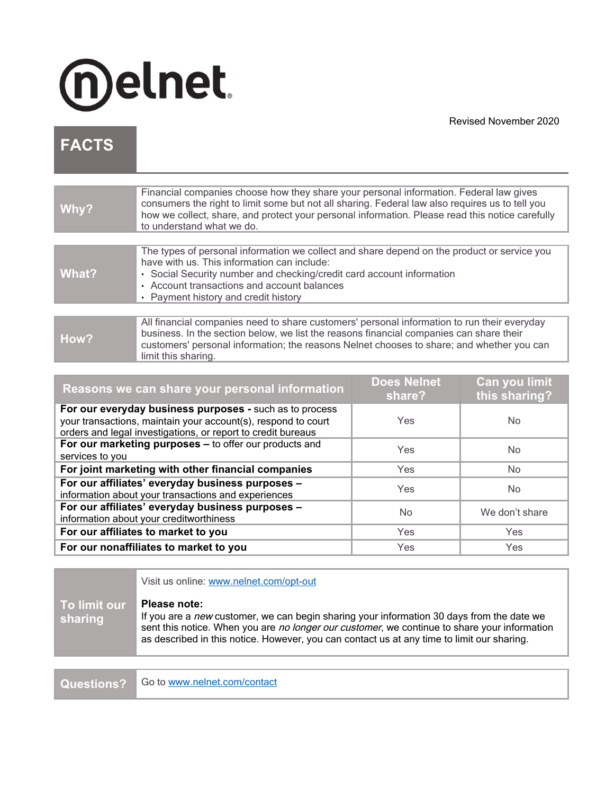

Revised November 2020

## **FACTS**

| Why?  | Financial companies choose how they share your personal information. Federal law gives<br>consumers the right to limit some but not all sharing. Federal law also requires us to tell you<br>how we collect, share, and protect your personal information. Please read this notice carefully<br>to understand what we do. |
|-------|---------------------------------------------------------------------------------------------------------------------------------------------------------------------------------------------------------------------------------------------------------------------------------------------------------------------------|
|       |                                                                                                                                                                                                                                                                                                                           |
| What? | The types of personal information we collect and share depend on the product or service you<br>have with us. This information can include:<br>• Social Security number and checking/credit card account information<br>• Account transactions and account balances<br>• Payment history and credit history                |
|       |                                                                                                                                                                                                                                                                                                                           |
| How?  | All financial companies need to share customers' personal information to run their everyday<br>business. In the section below, we list the reasons financial companies can share their<br>customers' personal information; the reasons Nelnet chooses to share; and whether you can<br>limit this sharing.                |

| Reasons we can share your personal information                                                                                                                                           | <b>Does Nelnet</b><br>share? | Can you limit<br>this sharing? |
|------------------------------------------------------------------------------------------------------------------------------------------------------------------------------------------|------------------------------|--------------------------------|
| For our everyday business purposes - such as to process<br>your transactions, maintain your account(s), respond to court<br>orders and legal investigations, or report to credit bureaus | Yes                          | No.                            |
| For our marketing purposes - to offer our products and<br>services to you                                                                                                                | Yes                          | N <sub>o</sub>                 |
| For joint marketing with other financial companies                                                                                                                                       | <b>Yes</b>                   | No.                            |
| For our affiliates' everyday business purposes -<br>information about your transactions and experiences                                                                                  | Yes                          | No.                            |
| For our affiliates' everyday business purposes -<br>information about your creditworthiness                                                                                              | No                           | We don't share                 |
| For our affiliates to market to you                                                                                                                                                      | <b>Yes</b>                   | <b>Yes</b>                     |
| For our nonaffiliates to market to you                                                                                                                                                   | Yes                          | <b>Yes</b>                     |

|                         | Visit us online: www.nelnet.com/opt-out                                                                                                                                                                                                                                                                 |
|-------------------------|---------------------------------------------------------------------------------------------------------------------------------------------------------------------------------------------------------------------------------------------------------------------------------------------------------|
| To limit our<br>sharing | Please note:<br>If you are a new customer, we can begin sharing your information 30 days from the date we<br>sent this notice. When you are no longer our customer, we continue to share your information<br>as described in this notice. However, you can contact us at any time to limit our sharing. |

Questions? [Go to www.nelnet.com/contact](http://www.nelnet.com/contact)